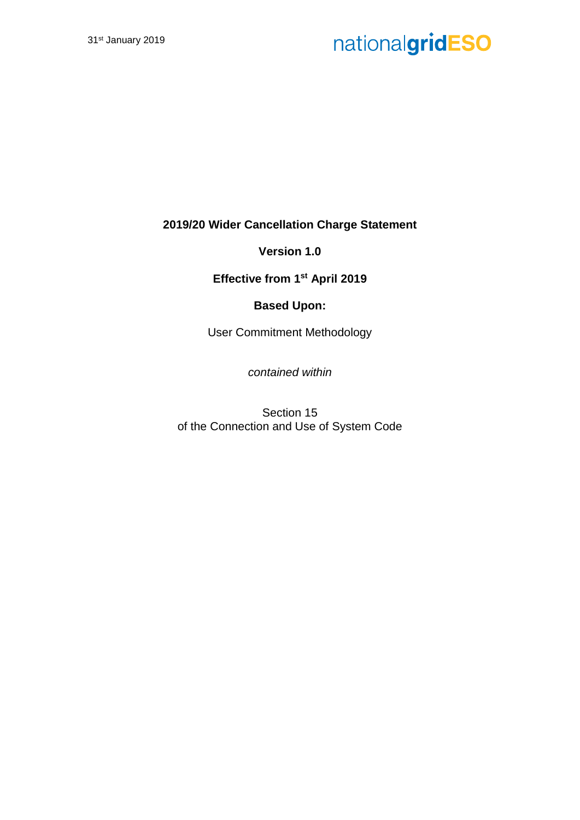**2019/20 Wider Cancellation Charge Statement**

**Version 1.0**

**Effective from 1st April 2019**

### **Based Upon:**

User Commitment Methodology

*contained within*

Section 15 of the Connection and Use of System Code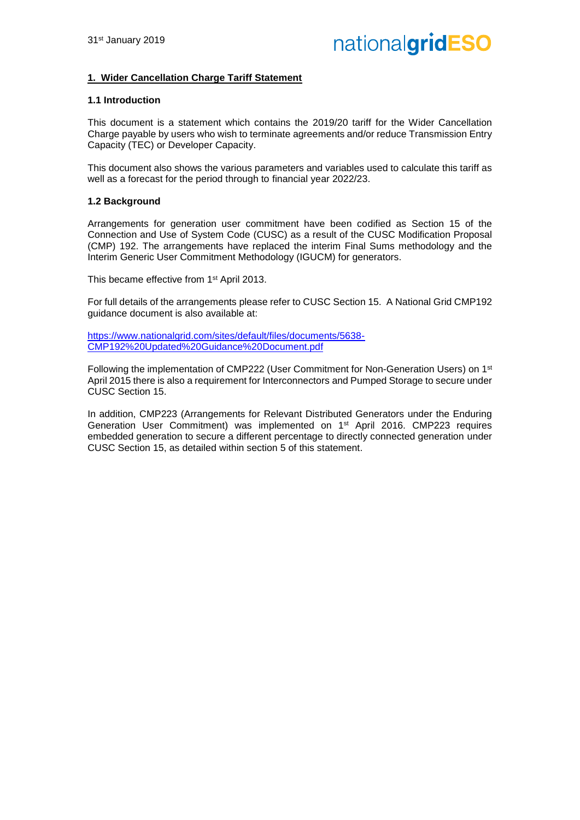#### **1. Wider Cancellation Charge Tariff Statement**

#### **1.1 Introduction**

This document is a statement which contains the 2019/20 tariff for the Wider Cancellation Charge payable by users who wish to terminate agreements and/or reduce Transmission Entry Capacity (TEC) or Developer Capacity.

This document also shows the various parameters and variables used to calculate this tariff as well as a forecast for the period through to financial year 2022/23.

#### **1.2 Background**

Arrangements for generation user commitment have been codified as Section 15 of the Connection and Use of System Code (CUSC) as a result of the CUSC Modification Proposal (CMP) 192. The arrangements have replaced the interim Final Sums methodology and the Interim Generic User Commitment Methodology (IGUCM) for generators.

This became effective from 1<sup>st</sup> April 2013.

For full details of the arrangements please refer to CUSC Section 15. A National Grid CMP192 guidance document is also available at:

[https://www.nationalgrid.com/sites/default/files/documents/5638-](https://www.nationalgrid.com/sites/default/files/documents/5638-CMP192%20Updated%20Guidance%20Document.pdf) [CMP192%20Updated%20Guidance%20Document.pdf](https://www.nationalgrid.com/sites/default/files/documents/5638-CMP192%20Updated%20Guidance%20Document.pdf)

Following the implementation of CMP222 (User Commitment for Non-Generation Users) on 1st April 2015 there is also a requirement for Interconnectors and Pumped Storage to secure under CUSC Section 15.

In addition, CMP223 (Arrangements for Relevant Distributed Generators under the Enduring Generation User Commitment) was implemented on 1st April 2016. CMP223 requires embedded generation to secure a different percentage to directly connected generation under CUSC Section 15, as detailed within section 5 of this statement.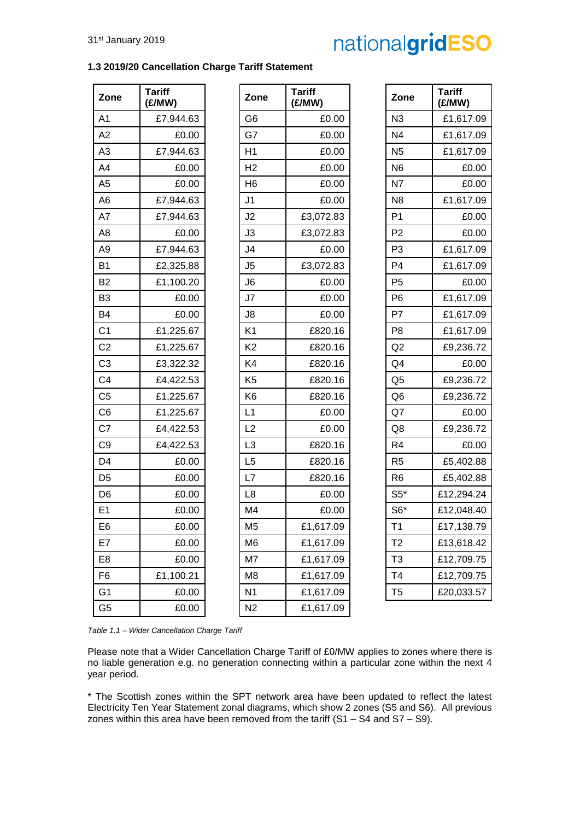#### **1.3 2019/20 Cancellation Charge Tariff Statement**

| Zone           | <b>Tariff</b><br>(£/MW) | Zone           | <b>Tariff</b><br>(E/MW) | Zone           | <b>Tariff</b><br>(E/MW) |
|----------------|-------------------------|----------------|-------------------------|----------------|-------------------------|
| A <sub>1</sub> | £7,944.63               | G <sub>6</sub> | £0.00                   | N <sub>3</sub> | £1,617.09               |
| A2             | £0.00                   | G7             | £0.00                   | N <sub>4</sub> | £1,617.09               |
| A <sub>3</sub> | £7,944.63               | H1             | £0.00                   | N <sub>5</sub> | £1,617.09               |
| A4             | £0.00                   | H <sub>2</sub> | £0.00                   | N <sub>6</sub> | £0.00                   |
| A <sub>5</sub> | £0.00                   | H <sub>6</sub> | £0.00                   | N7             | £0.00                   |
| A <sub>6</sub> | £7,944.63               | J <sub>1</sub> | £0.00                   | N <sub>8</sub> | £1,617.09               |
| A7             | £7,944.63               | J2             | £3,072.83               | P <sub>1</sub> | £0.00                   |
| A <sub>8</sub> | £0.00                   | J3             | £3,072.83               | P <sub>2</sub> | £0.00                   |
| A <sub>9</sub> | £7,944.63               | J <sub>4</sub> | £0.00                   | P <sub>3</sub> | £1,617.09               |
| <b>B1</b>      | £2,325.88               | J <sub>5</sub> | £3,072.83               | P <sub>4</sub> | £1,617.09               |
| <b>B2</b>      | £1,100.20               | J <sub>6</sub> | £0.00                   | P <sub>5</sub> | £0.00                   |
| B <sub>3</sub> | £0.00                   | J7             | £0.00                   | P <sub>6</sub> | £1,617.09               |
| <b>B4</b>      | £0.00                   | J8             | £0.00                   | P7             | £1,617.09               |
| C <sub>1</sub> | £1,225.67               | K <sub>1</sub> | £820.16                 | P <sub>8</sub> | £1,617.09               |
| C <sub>2</sub> | £1,225.67               | K <sub>2</sub> | £820.16                 | Q2             | £9,236.72               |
| C <sub>3</sub> | £3,322.32               | K4             | £820.16                 | Q <sub>4</sub> | £0.00                   |
| C <sub>4</sub> | £4,422.53               | K <sub>5</sub> | £820.16                 | Q <sub>5</sub> | £9,236.72               |
| C <sub>5</sub> | £1,225.67               | K <sub>6</sub> | £820.16                 | Q <sub>6</sub> | £9,236.72               |
| C <sub>6</sub> | £1,225.67               | L1             | £0.00                   | Q7             | £0.00                   |
| C7             | £4,422.53               | L2             | £0.00                   | Q8             | £9,236.72               |
| C <sub>9</sub> | £4,422.53               | L <sub>3</sub> | £820.16                 | R <sub>4</sub> | £0.00                   |
| D <sub>4</sub> | £0.00                   | L <sub>5</sub> | £820.16                 | R <sub>5</sub> | £5,402.88               |
| D <sub>5</sub> | £0.00                   | L7             | £820.16                 | R <sub>6</sub> | £5,402.88               |
| D <sub>6</sub> | £0.00                   | L8             | £0.00                   | $S5*$          | £12,294.24              |
| E <sub>1</sub> | £0.00                   | M4             | £0.00                   | $S6*$          | £12,048.40              |
| E <sub>6</sub> | £0.00                   | M <sub>5</sub> | £1,617.09               | T <sub>1</sub> | £17,138.79              |
| E7             | £0.00                   | M <sub>6</sub> | £1,617.09               | T <sub>2</sub> | £13,618.42              |
| E <sub>8</sub> | £0.00                   | M7             | £1,617.09               | T <sub>3</sub> | £12,709.75              |
| F <sub>6</sub> | £1,100.21               | M <sub>8</sub> | £1,617.09               | T <sub>4</sub> | £12,709.75              |
| G <sub>1</sub> | £0.00                   | N <sub>1</sub> | £1,617.09               | T <sub>5</sub> | £20,033.57              |
| G <sub>5</sub> | £0.00                   | N <sub>2</sub> | £1,617.09               |                |                         |

| Zone            | Tariff<br>(£/MW) |
|-----------------|------------------|
| N3              | £1,617.09        |
| N4              | £1,617.09        |
| N5              | £1,617.09        |
| N6              | £0.00            |
| N7              | £0.00            |
| N <sub>8</sub>  | £1,617.09        |
| P1              | £0.00            |
| P2              | £0.00            |
| P3              | £1,617.09        |
| P4              | £1,617.09        |
| P5              | £0.00            |
| P6              | £1,617.09        |
| P7              | £1,617.09        |
| P8              | £1,617.09        |
| Q2              | £9,236.72        |
| Q4              | £0.00            |
| Q <sub>5</sub>  | £9,236.72        |
| Q6              | £9,236.72        |
| Q7              | £0.00            |
| Q8              | £9,236.72        |
| R4              | £0.00            |
| R5              | £5,402.88        |
| R6              | £5,402.88        |
| $\mathsf{S5}^*$ | £12,294.24       |
| $S6*$           | £12,048.40       |
| T1              | £17,138.79       |
| T2              | £13,618.42       |
| T3              | £12,709.75       |
| T4              | £12,709.75       |
| T5              | £20,033.57       |

*Table 1.1 – Wider Cancellation Charge Tariff*

Please note that a Wider Cancellation Charge Tariff of £0/MW applies to zones where there is no liable generation e.g. no generation connecting within a particular zone within the next 4 year period.

\* The Scottish zones within the SPT network area have been updated to reflect the latest Electricity Ten Year Statement zonal diagrams, which show 2 zones (S5 and S6). All previous zones within this area have been removed from the tariff  $(S1 - S4$  and  $S7 - S9)$ .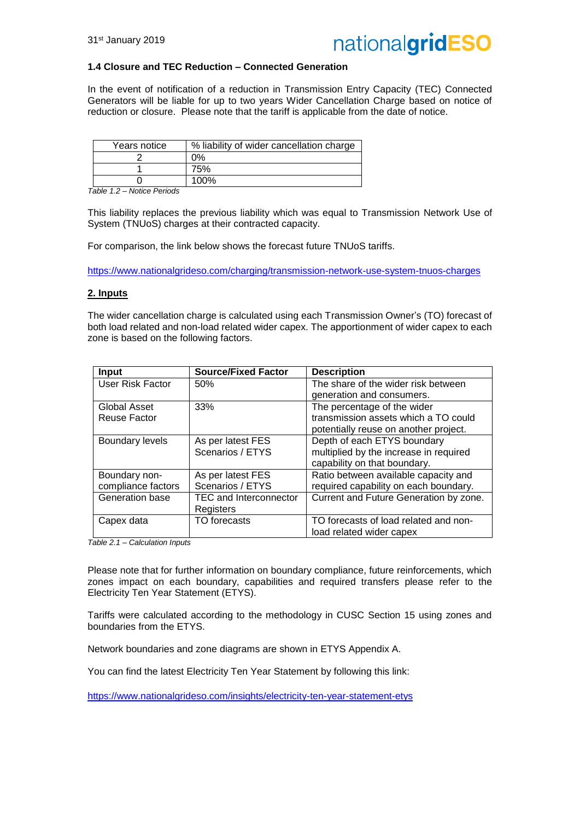

#### **1.4 Closure and TEC Reduction – Connected Generation**

In the event of notification of a reduction in Transmission Entry Capacity (TEC) Connected Generators will be liable for up to two years Wider Cancellation Charge based on notice of reduction or closure. Please note that the tariff is applicable from the date of notice.

| Years notice | % liability of wider cancellation charge |
|--------------|------------------------------------------|
|              | ገ%                                       |
|              | 75%                                      |
|              | 100%                                     |

*Table 1.2 – Notice Periods*

This liability replaces the previous liability which was equal to Transmission Network Use of System (TNUoS) charges at their contracted capacity.

For comparison, the link below shows the forecast future TNUoS tariffs.

<https://www.nationalgrideso.com/charging/transmission-network-use-system-tnuos-charges>

#### **2. Inputs**

The wider cancellation charge is calculated using each Transmission Owner's (TO) forecast of both load related and non-load related wider capex. The apportionment of wider capex to each zone is based on the following factors.

| <b>Input</b>           | <b>Source/Fixed Factor</b>    | <b>Description</b>                     |
|------------------------|-------------------------------|----------------------------------------|
| User Risk Factor       | 50%                           | The share of the wider risk between    |
|                        |                               | generation and consumers.              |
| Global Asset           | 33%                           | The percentage of the wider            |
| Reuse Factor           |                               | transmission assets which a TO could   |
|                        |                               | potentially reuse on another project.  |
| <b>Boundary levels</b> | As per latest FES             | Depth of each ETYS boundary            |
|                        | Scenarios / ETYS              | multiplied by the increase in required |
|                        |                               | capability on that boundary.           |
| Boundary non-          | As per latest FES             | Ratio between available capacity and   |
| compliance factors     | Scenarios / ETYS              | required capability on each boundary.  |
| Generation base        | <b>TEC and Interconnector</b> | Current and Future Generation by zone. |
|                        | Registers                     |                                        |
| Capex data             | TO forecasts                  | TO forecasts of load related and non-  |
|                        |                               | load related wider capex               |

*Table 2.1 – Calculation Inputs*

Please note that for further information on boundary compliance, future reinforcements, which zones impact on each boundary, capabilities and required transfers please refer to the Electricity Ten Year Statement (ETYS).

Tariffs were calculated according to the methodology in CUSC Section 15 using zones and boundaries from the ETYS.

Network boundaries and zone diagrams are shown in ETYS Appendix A.

You can find the latest Electricity Ten Year Statement by following this link:

<https://www.nationalgrideso.com/insights/electricity-ten-year-statement-etys>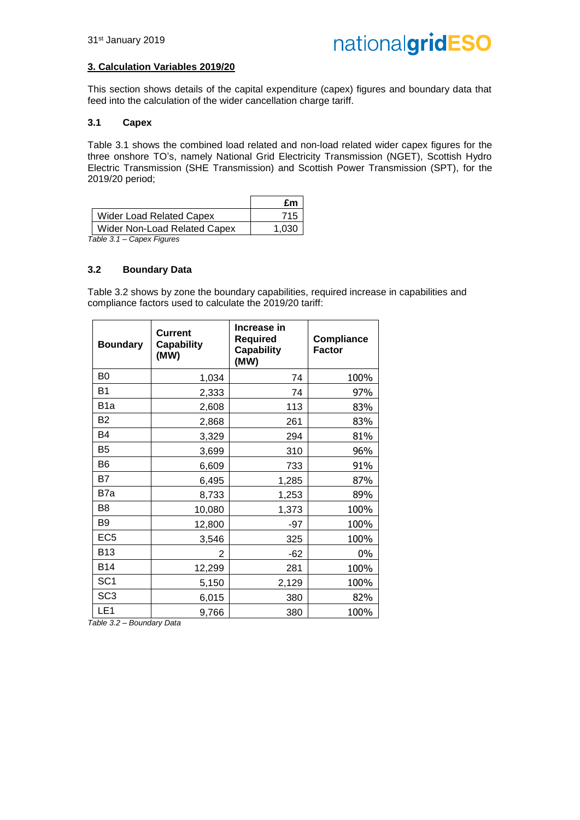#### **3. Calculation Variables 2019/20**

This section shows details of the capital expenditure (capex) figures and boundary data that feed into the calculation of the wider cancellation charge tariff.

#### **3.1 Capex**

Table 3.1 shows the combined load related and non-load related wider capex figures for the three onshore TO's, namely National Grid Electricity Transmission (NGET), Scottish Hydro Electric Transmission (SHE Transmission) and Scottish Power Transmission (SPT), for the 2019/20 period;

|                                                                                        | £m    |
|----------------------------------------------------------------------------------------|-------|
| <b>Wider Load Related Capex</b>                                                        | 715   |
| Wider Non-Load Related Capex                                                           | 1.030 |
| $\bigcap_{i=1}^n A_i$ . $\bigcap_{i=1}^n A_i$ . $\bigcap_{i=1}^n A_i$<br>$T - L L - T$ |       |

*Table 3.1 – Capex Figures*

#### **3.2 Boundary Data**

Table 3.2 shows by zone the boundary capabilities, required increase in capabilities and compliance factors used to calculate the 2019/20 tariff:

| <b>Boundary</b>  | <b>Current</b><br><b>Capability</b><br>(MW) | Increase in<br><b>Required</b><br><b>Capability</b><br>(MW) | <b>Compliance</b><br><b>Factor</b> |
|------------------|---------------------------------------------|-------------------------------------------------------------|------------------------------------|
| B <sub>0</sub>   | 1,034                                       | 74                                                          | 100%                               |
| <b>B1</b>        | 2,333                                       | 74                                                          | 97%                                |
| B <sub>1</sub> a | 2,608                                       | 113                                                         | 83%                                |
| B <sub>2</sub>   | 2,868                                       | 261                                                         | 83%                                |
| B4               | 3,329                                       | 294                                                         | 81%                                |
| B <sub>5</sub>   | 3,699                                       | 310                                                         | 96%                                |
| B <sub>6</sub>   | 6,609                                       | 733                                                         | 91%                                |
| B7               | 6,495                                       | 1,285                                                       | 87%                                |
| B7a              | 8,733                                       | 1,253                                                       | 89%                                |
| B <sub>8</sub>   | 10,080                                      | 1,373                                                       | 100%                               |
| B <sub>9</sub>   | 12,800                                      | -97                                                         | 100%                               |
| EC <sub>5</sub>  | 3,546                                       | 325                                                         | 100%                               |
| <b>B13</b>       | 2                                           | $-62$                                                       | 0%                                 |
| <b>B14</b>       | 12,299                                      | 281                                                         | 100%                               |
| SC <sub>1</sub>  | 5,150                                       | 2,129                                                       | 100%                               |
| SC <sub>3</sub>  | 6,015                                       | 380                                                         | 82%                                |
| LE <sub>1</sub>  | 9,766                                       | 380                                                         | 100%                               |

*Table 3.2 – Boundary Data*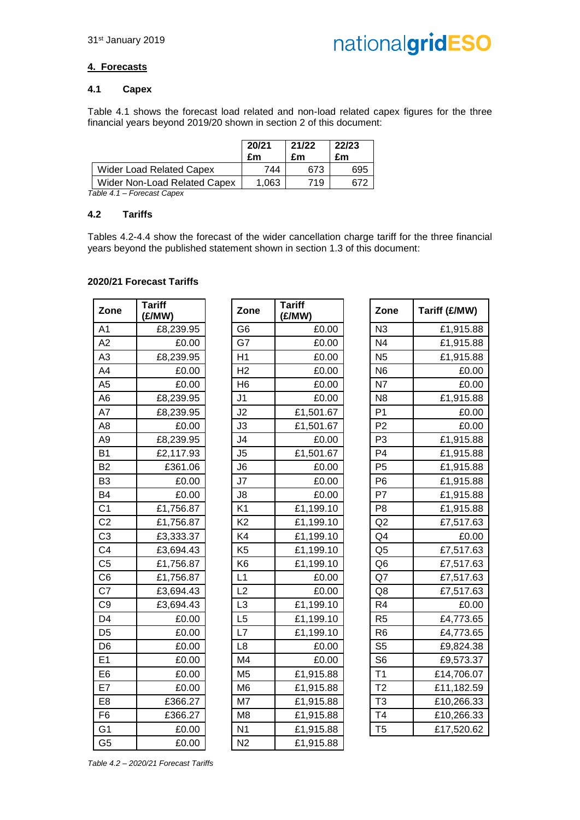#### **4. Forecasts**

#### **4.1 Capex**

Table 4.1 shows the forecast load related and non-load related capex figures for the three financial years beyond 2019/20 shown in section 2 of this document:

|                                 | 20/21<br>£m | 21/22<br>£m | 22/23<br>£m |
|---------------------------------|-------------|-------------|-------------|
| <b>Wider Load Related Capex</b> | 744         | 673         | 695         |
| Wider Non-Load Related Capex    | 1.063       | 719         |             |

*Table 4.1 – Forecast Capex*

#### **4.2 Tariffs**

Tables 4.2-4.4 show the forecast of the wider cancellation charge tariff for the three financial years beyond the published statement shown in section 1.3 of this document:

#### **2020/21 Forecast Tariffs**

| Zone           | <b>Tariff</b><br>(£/MW) |  |
|----------------|-------------------------|--|
| A <sub>1</sub> | £8,239.95               |  |
| A <sub>2</sub> | £0.00                   |  |
| A3             | £8,239.95               |  |
| A4             | £0.00                   |  |
| A <sub>5</sub> | £0.00                   |  |
| A6             | £8,239.95               |  |
| A7             | £8,239.95               |  |
| A8             | £0.00                   |  |
| A <sub>9</sub> | £8,239.95               |  |
| B <sub>1</sub> | £2,117.93               |  |
| B <sub>2</sub> | £361.06                 |  |
| B3             | £0.00                   |  |
| B4             | £0.00                   |  |
| C <sub>1</sub> | £1,756.87               |  |
| C <sub>2</sub> | £1,756.87               |  |
| C3             | £3,333.37               |  |
| C <sub>4</sub> | £3,694.43               |  |
| C <sub>5</sub> | £1,756.87               |  |
| C6             | £1,756.87               |  |
| C7             | £3,694.43               |  |
| C <sub>9</sub> | £3,694.43               |  |
| D4             | £0.00                   |  |
| D5             | £0.00                   |  |
| D6             | £0.00                   |  |
| E1             | £0.00                   |  |
| E6             | £0.00                   |  |
| E7             | £0.00                   |  |
| E8             | £366.27                 |  |
| F6             | £366.27                 |  |
| G1             | £0.00                   |  |
| G5             | £0.00                   |  |

| Zone            | <b>Tariff</b><br>(£/MW) | Zone           | <b>Tariff</b><br>(£/MW) | Zone           | Tariff (£/MW) |
|-----------------|-------------------------|----------------|-------------------------|----------------|---------------|
| A <sub>1</sub>  | £8,239.95               | G <sub>6</sub> | £0.00                   | N <sub>3</sub> | £1,915.88     |
| A2              | £0.00                   | G7             | £0.00                   | N <sub>4</sub> | £1,915.88     |
| A3              | £8,239.95               | H1             | £0.00                   | N <sub>5</sub> | £1,915.88     |
| A4              | £0.00                   | H <sub>2</sub> | £0.00                   | N <sub>6</sub> | £0.00         |
| $\overline{A5}$ | £0.00                   | H <sub>6</sub> | £0.00                   | N7             | £0.00         |
| A6              | £8,239.95               | J <sub>1</sub> | £0.00                   | N <sub>8</sub> | £1,915.88     |
| $\overline{A7}$ | £8,239.95               | J2             | £1,501.67               | P <sub>1</sub> | £0.00         |
| A8              | £0.00                   | J3             | £1,501.67               | P <sub>2</sub> | £0.00         |
| A9              | £8,239.95               | J4             | £0.00                   | P <sub>3</sub> | £1,915.88     |
| B1              | £2,117.93               | J5             | £1,501.67               | P <sub>4</sub> | £1,915.88     |
| B <sub>2</sub>  | £361.06                 | J6             | £0.00                   | P <sub>5</sub> | £1,915.88     |
| B3              | £0.00                   | J7             | £0.00                   | P <sub>6</sub> | £1,915.88     |
| B4              | £0.00                   | J8             | £0.00                   | P7             | £1,915.88     |
| C <sub>1</sub>  | £1,756.87               | K <sub>1</sub> | £1,199.10               | P <sub>8</sub> | £1,915.88     |
| C <sub>2</sub>  | £1,756.87               | K <sub>2</sub> | £1,199.10               | Q2             | £7,517.63     |
| C <sub>3</sub>  | £3,333.37               | K4             | £1,199.10               | Q <sub>4</sub> | £0.00         |
| C4              | £3,694.43               | K <sub>5</sub> | £1,199.10               | Q <sub>5</sub> | £7,517.63     |
| C5              | £1,756.87               | K <sub>6</sub> | £1,199.10               | Q <sub>6</sub> | £7,517.63     |
| C6              | £1,756.87               | L1             | £0.00                   | Q7             | £7,517.63     |
| $\overline{C7}$ | £3,694.43               | L2             | £0.00                   | Q8             | £7,517.63     |
| C9              | £3,694.43               | L <sub>3</sub> | £1,199.10               | R <sub>4</sub> | £0.00         |
| D4              | £0.00                   | L <sub>5</sub> | £1,199.10               | R <sub>5</sub> | £4,773.65     |
| D5              | £0.00                   | L7             | £1,199.10               | R <sub>6</sub> | £4,773.65     |
| D6              | £0.00                   | L <sub>8</sub> | £0.00                   | S <sub>5</sub> | £9,824.38     |
| E1              | £0.00                   | M4             | £0.00                   | S <sub>6</sub> | £9,573.37     |
| E6              | £0.00                   | M <sub>5</sub> | £1,915.88               | T <sub>1</sub> | £14,706.07    |
| E7              | £0.00                   | M <sub>6</sub> | £1,915.88               | T <sub>2</sub> | £11,182.59    |
| E8              | £366.27                 | M7             | £1,915.88               | T <sub>3</sub> | £10,266.33    |
| F6              | £366.27                 | M <sub>8</sub> | £1,915.88               | T <sub>4</sub> | £10,266.33    |
| G1              | £0.00                   | N <sub>1</sub> | £1,915.88               | T <sub>5</sub> | £17,520.62    |
| G5              | £0.00                   | N <sub>2</sub> | £1,915.88               |                |               |

| <b>Tariff</b><br>(£/MW) | Zone           | Tariff (£/MW) |
|-------------------------|----------------|---------------|
| £0.00                   | N <sub>3</sub> | £1,915.88     |
| £0.00                   | N <sub>4</sub> | £1,915.88     |
| £0.00                   | N <sub>5</sub> | £1,915.88     |
| £0.00                   | N <sub>6</sub> | £0.00         |
| £0.00                   | N7             | £0.00         |
| £0.00                   | N <sub>8</sub> | £1,915.88     |
| £1,501.67               | P <sub>1</sub> | £0.00         |
| £1,501.67               | P <sub>2</sub> | £0.00         |
| £0.00                   | P <sub>3</sub> | £1,915.88     |
| £1,501.67               | P <sub>4</sub> | £1,915.88     |
| £0.00                   | P <sub>5</sub> | £1,915.88     |
| £0.00                   | P <sub>6</sub> | £1,915.88     |
| £0.00                   | P7             | £1,915.88     |
| £1,199.10               | P <sub>8</sub> | £1,915.88     |
| £1,199.10               | Q2             | £7,517.63     |
| £1,199.10               | Q4             | £0.00         |
| £1,199.10               | Q <sub>5</sub> | £7,517.63     |
| £1,199.10               | Q <sub>6</sub> | £7,517.63     |
| £0.00                   | Q7             | £7,517.63     |
| £0.00                   | Q8             | £7,517.63     |
| £1,199.10               | R <sub>4</sub> | £0.00         |
| £1,199.10               | R <sub>5</sub> | £4,773.65     |
| £1,199.10               | R <sub>6</sub> | £4,773.65     |
| £0.00                   | S <sub>5</sub> | £9,824.38     |
| £0.00                   | S <sub>6</sub> | £9,573.37     |
| £1,915.88               | T1             | £14,706.07    |
| £1,915.88               | T <sub>2</sub> | £11,182.59    |
| £1,915.88               | T <sub>3</sub> | £10,266.33    |
| £1,915.88               | T <sub>4</sub> | £10,266.33    |
| £1,915.88               | T <sub>5</sub> | £17,520.62    |

*Table 4.2 – 2020/21 Forecast Tariffs*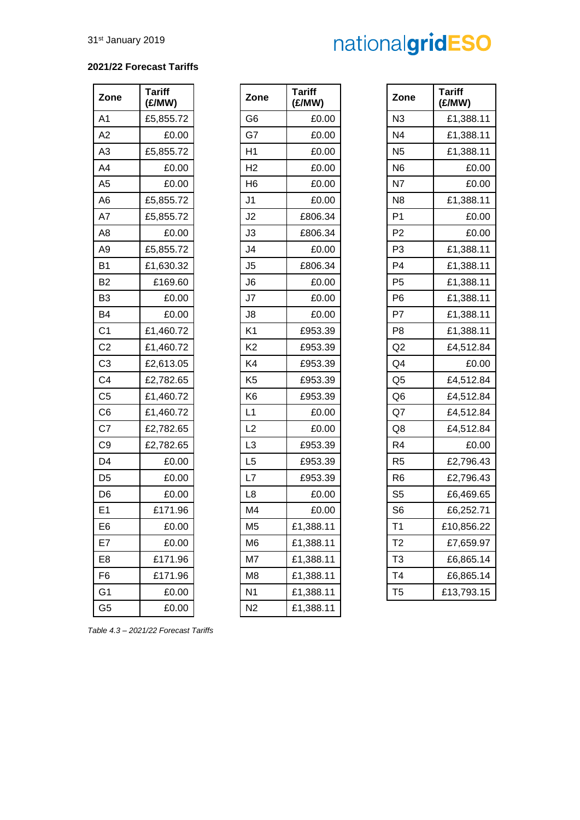#### **2021/22 Forecast Tariffs**

| Zone           | <b>Tariff</b><br>(£/MW) |
|----------------|-------------------------|
| A1             | £5,855.72               |
| A2             | £0.00                   |
| A3             | £5,855.72               |
| A4             | £0.00                   |
| A <sub>5</sub> | £0.00                   |
| A6             | £5,855.72               |
| A7             | £5,855.72               |
| A8             | £0.00                   |
| A9             | £5,855.72               |
| Β1             | £1,630.32               |
| B2             | £169.60                 |
| B3             | £0.00                   |
| B4             | £0.00                   |
| C <sub>1</sub> | £1,460.72               |
| C2             | £1,460.72               |
| C <sub>3</sub> | £2,613.05               |
| C4             | £2,782.65               |
| C <sub>5</sub> | £1,460.72               |
| C <sub>6</sub> | £1,460.72               |
| C7             | £2,782.65               |
| C9             | £2,782.65               |
| D4             | £0.00                   |
| D5             | £0.00                   |
| D6             | £0.00                   |
| E1             | £171.96                 |
| E6             | £0.00                   |
| :7<br>E        | £0.00                   |
| E8             | £171.96                 |
| F6             | £171.96                 |
| G1             | £0.00                   |
| G5             | £0.00                   |

| <b>Tariff</b><br>(£/MW) | Zone           | <b>Tariff</b><br>(£/MW) |
|-------------------------|----------------|-------------------------|
| £5,855.72               | G <sub>6</sub> | £0.00                   |
| £0.00                   | G7             | £0.00                   |
| £5,855.72               | H1             | £0.00                   |
| £0.00                   | H <sub>2</sub> | £0.00                   |
| £0.00                   | H <sub>6</sub> | £0.00                   |
| £5,855.72               | J1             | £0.00                   |
| £5,855.72               | J <sub>2</sub> | £806.34                 |
| £0.00                   | J3             | £806.34                 |
| £5,855.72               | J4             | £0.00                   |
| £1,630.32               | J <sub>5</sub> | £806.34                 |
| £169.60                 | J <sub>6</sub> | £0.00                   |
| £0.00                   | J7             | £0.00                   |
| £0.00                   | J8             | £0.00                   |
| £1,460.72               | K <sub>1</sub> | £953.39                 |
| £1,460.72               | K <sub>2</sub> | £953.39                 |
| £2,613.05               | K4             | £953.39                 |
| £2,782.65               | K <sub>5</sub> | £953.39                 |
| £1,460.72               | K <sub>6</sub> | £953.39                 |
| £1,460.72               | L1             | £0.00                   |
| £2,782.65               | L2             | £0.00                   |
| £2,782.65               | L <sub>3</sub> | £953.39                 |
| £0.00                   | L <sub>5</sub> | £953.39                 |
| £0.00                   | L7             | £953.39                 |
| £0.00                   | L <sub>8</sub> | £0.00                   |
| £171.96                 | M4             | £0.00                   |
| £0.00                   | M5             | £1,388.11               |
| £0.00                   | M <sub>6</sub> | £1,388.11               |
| £171.96                 | M7             | £1,388.11               |
| £171.96                 | M8             | £1,388.11               |
| £0.00                   | N1             | £1,388.11               |
| £0.00                   | N2             | £1,388.11               |

| Zone           | <b>Tariff</b><br>(E/MW) | Zone           | <b>Tariff</b><br>(E/MW) | Zone           | <b>Tariff</b><br>(E/MW) |
|----------------|-------------------------|----------------|-------------------------|----------------|-------------------------|
| A1             | £5,855.72               | G <sub>6</sub> | £0.00                   | N3             | £1,388.11               |
| A2             | £0.00                   | G7             | £0.00                   | N <sub>4</sub> | £1,388.11               |
| A3             | £5,855.72               | H1             | £0.00                   | N <sub>5</sub> | £1,388.11               |
| A4             | £0.00                   | H <sub>2</sub> | £0.00                   | N <sub>6</sub> | £0.00                   |
| A5             | £0.00                   | H <sub>6</sub> | £0.00                   | N7             | £0.00                   |
| A6             | £5,855.72               | J <sub>1</sub> | £0.00                   | N <sub>8</sub> | £1,388.11               |
| A7             | £5,855.72               | J2             | £806.34                 | P <sub>1</sub> | £0.00                   |
| A8             | £0.00                   | J3             | £806.34                 | P <sub>2</sub> | £0.00                   |
| Α9             | £5,855.72               | J4             | £0.00                   | P <sub>3</sub> | £1,388.11               |
| B1             | £1,630.32               | J <sub>5</sub> | £806.34                 | P4             | £1,388.11               |
| <b>B2</b>      | £169.60                 | J <sub>6</sub> | £0.00                   | P <sub>5</sub> | £1,388.11               |
| B3             | £0.00                   | J7             | £0.00                   | P <sub>6</sub> | £1,388.11               |
| B4             | £0.00                   | J8             | £0.00                   | P7             | £1,388.11               |
| C1             | £1,460.72               | K <sub>1</sub> | £953.39                 | P <sub>8</sub> | £1,388.11               |
| C <sub>2</sub> | £1,460.72               | K <sub>2</sub> | £953.39                 | Q2             | £4,512.84               |
| C3             | £2,613.05               | K4             | £953.39                 | Q4             | £0.00                   |
| C4             | £2,782.65               | K <sub>5</sub> | £953.39                 | Q <sub>5</sub> | £4,512.84               |
| C5             | £1,460.72               | K <sub>6</sub> | £953.39                 | Q <sub>6</sub> | £4,512.84               |
| C6             | £1,460.72               | L1             | £0.00                   | Q7             | £4,512.84               |
| C7             | £2,782.65               | L2             | £0.00                   | Q8             | £4,512.84               |
| C9             | £2,782.65               | L3             | £953.39                 | R <sub>4</sub> | £0.00                   |
| D4             | £0.00                   | L5             | £953.39                 | R <sub>5</sub> | £2,796.43               |
| D5             | £0.00                   | L7             | £953.39                 | R <sub>6</sub> | £2,796.43               |
| D6             | £0.00                   | L <sub>8</sub> | £0.00                   | S <sub>5</sub> | £6,469.65               |
| E1             | £171.96                 | M4             | £0.00                   | S <sub>6</sub> | £6,252.71               |
| E6             | £0.00                   | M <sub>5</sub> | £1,388.11               | T1             | £10,856.22              |
| E7             | £0.00                   | M <sub>6</sub> | £1,388.11               | T <sub>2</sub> | £7,659.97               |
| E8             | £171.96                 | M7             | £1,388.11               | T <sub>3</sub> | £6,865.14               |
| F6             | £171.96                 | M8             | £1,388.11               | T4             | £6,865.14               |
| G1             | £0.00                   | N <sub>1</sub> | £1,388.11               | T <sub>5</sub> | £13,793.15              |

*Table 4.3 – 2021/22 Forecast Tariffs*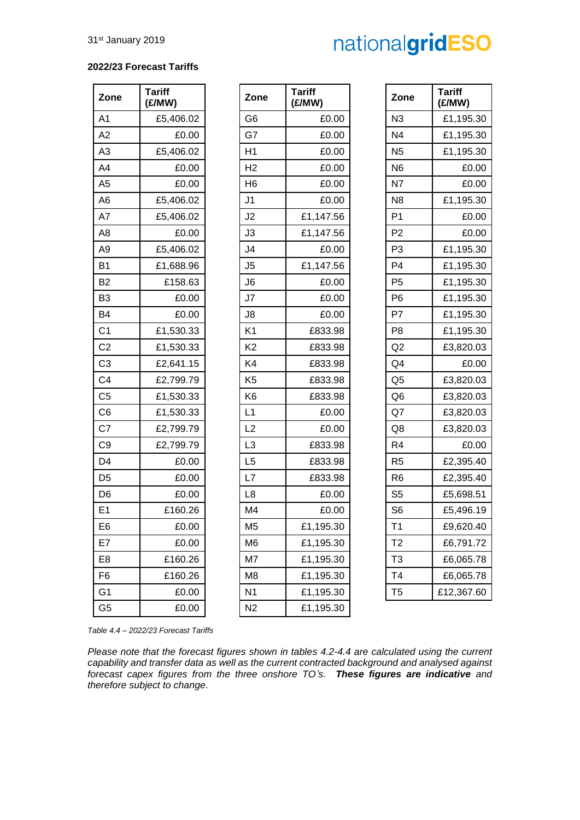#### **2022/23 Forecast Tariffs**

| Zone           | <b>Tariff</b><br>(£/MW) | Zone           | <b>Tariff</b><br>(£/MW) |
|----------------|-------------------------|----------------|-------------------------|
| A <sub>1</sub> | £5,406.02               | G6             | £0.00                   |
| A2             | £0.00                   | G7             | £0.00                   |
| A <sub>3</sub> | £5,406.02               | H <sub>1</sub> | £0.00                   |
| A4             | £0.00                   | H <sub>2</sub> | £0.00                   |
| A <sub>5</sub> | £0.00                   | H <sub>6</sub> | £0.00                   |
| A <sub>6</sub> | £5,406.02               | J1             | £0.00                   |
| A7             | £5,406.02               | J <sub>2</sub> | £1,147.56               |
| A <sub>8</sub> | £0.00                   | J3             | £1,147.56               |
| A <sub>9</sub> | £5,406.02               | J4             | £0.00                   |
| B <sub>1</sub> | £1,688.96               | J <sub>5</sub> | £1,147.56               |
| B <sub>2</sub> | £158.63                 | J6             | £0.00                   |
| B <sub>3</sub> | £0.00                   | J7             | £0.00                   |
| B <sub>4</sub> | £0.00                   | J8             | £0.00                   |
| C <sub>1</sub> | £1,530.33               | K <sub>1</sub> | £833.98                 |
| C <sub>2</sub> | £1,530.33               | K <sub>2</sub> | £833.98                 |
| C <sub>3</sub> | £2,641.15               | K4             | £833.98                 |
| C <sub>4</sub> | £2,799.79               | K <sub>5</sub> | £833.98                 |
| C <sub>5</sub> | £1,530.33               | K <sub>6</sub> | £833.98                 |
| C <sub>6</sub> | £1,530.33               | L1             | £0.00                   |
| C7             | £2,799.79               | L2             | £0.00                   |
| C <sub>9</sub> | £2,799.79               | L <sub>3</sub> | £833.98                 |
| D <sub>4</sub> | £0.00                   | L <sub>5</sub> | £833.98                 |
| D <sub>5</sub> | £0.00                   | L7             | £833.98                 |
| D <sub>6</sub> | £0.00                   | L8             | £0.00                   |
| E <sub>1</sub> | £160.26                 | M4             | £0.00                   |
| E6             | £0.00                   | M <sub>5</sub> | £1,195.30               |
| E7             | £0.00                   | M <sub>6</sub> | £1,195.30               |
| E <sub>8</sub> | £160.26                 | M7             | £1,195.30               |
| F6             | £160.26                 | M8             | £1,195.30               |
| G <sub>1</sub> | £0.00                   | N <sub>1</sub> | £1,195.30               |
| G5             | £0.00                   | N <sub>2</sub> | £1,195.30               |

| Zone           | <b>Tariff</b><br>(£/MW) | Zone           | <b>Tariff</b><br>(E/MW) | Zone           | <b>Tariff</b><br>(£/MW) |
|----------------|-------------------------|----------------|-------------------------|----------------|-------------------------|
| A1             | £5,406.02               | G <sub>6</sub> | £0.00                   | N <sub>3</sub> | £1,195.30               |
| A2             | £0.00                   | G7             | £0.00                   | N <sub>4</sub> | £1,195.30               |
| A3             | £5,406.02               | H1             | £0.00                   | N <sub>5</sub> | £1,195.30               |
| A4             | £0.00                   | H <sub>2</sub> | £0.00                   | N <sub>6</sub> | £0.00                   |
| A5             | £0.00                   | H <sub>6</sub> | £0.00                   | N7             | £0.00                   |
| A6             | £5,406.02               | J <sub>1</sub> | £0.00                   | N <sub>8</sub> | £1,195.30               |
| A7             | £5,406.02               | J2             | £1,147.56               | P <sub>1</sub> | £0.00                   |
| A8             | £0.00                   | J3             | £1,147.56               | P <sub>2</sub> | £0.00                   |
| Α9             | £5,406.02               | J4             | £0.00                   | P <sub>3</sub> | £1,195.30               |
| B1             | £1,688.96               | J5             | £1,147.56               | P <sub>4</sub> | £1,195.30               |
| B2             | £158.63                 | J <sub>6</sub> | £0.00                   | P <sub>5</sub> | £1,195.30               |
| B3             | £0.00                   | J7             | £0.00                   | P <sub>6</sub> | £1,195.30               |
| B4             | £0.00                   | J8             | £0.00                   | P7             | £1,195.30               |
| C1             | £1,530.33               | K <sub>1</sub> | £833.98                 | P <sub>8</sub> | £1,195.30               |
| C <sub>2</sub> | £1,530.33               | K <sub>2</sub> | £833.98                 | Q2             | £3,820.03               |
| C3             | £2,641.15               | K4             | £833.98                 | Q <sub>4</sub> | £0.00                   |
| C4             | £2,799.79               | K <sub>5</sub> | £833.98                 | Q <sub>5</sub> | £3,820.03               |
| C5             | £1,530.33               | K <sub>6</sub> | £833.98                 | Q <sub>6</sub> | £3,820.03               |
| C6             | £1,530.33               | L1             | £0.00                   | Q7             | £3,820.03               |
| C7             | £2,799.79               | L2             | £0.00                   | Q8             | £3,820.03               |
| C9             | £2,799.79               | L3             | £833.98                 | R <sub>4</sub> | £0.00                   |
| D4             | £0.00                   | L <sub>5</sub> | £833.98                 | R <sub>5</sub> | £2,395.40               |
| D5             | £0.00                   | L7             | £833.98                 | R <sub>6</sub> | £2,395.40               |
| D6             | £0.00                   | L <sub>8</sub> | £0.00                   | S <sub>5</sub> | £5,698.51               |
| E1             | £160.26                 | M4             | £0.00                   | S <sub>6</sub> | £5,496.19               |
| E6             | £0.00                   | M <sub>5</sub> | £1,195.30               | T <sub>1</sub> | £9,620.40               |
| E7             | £0.00                   | M <sub>6</sub> | £1,195.30               | T <sub>2</sub> | £6,791.72               |
| E8             | £160.26                 | M7             | £1,195.30               | T <sub>3</sub> | £6,065.78               |
| F6             | £160.26                 | M8             | £1,195.30               | T4             | £6,065.78               |
| G1             | £0.00                   | N <sub>1</sub> | £1,195.30               | T <sub>5</sub> | £12,367.60              |
| G5             | £0.00                   | N <sub>2</sub> | £1,195.30               |                |                         |

| <b>Tariff</b><br>(£/MW) | Zone           | <b>Tariff</b><br>(E/MW) |
|-------------------------|----------------|-------------------------|
| £0.00                   | N <sub>3</sub> | £1,195.30               |
| £0.00                   | N <sub>4</sub> | £1,195.30               |
| £0.00                   | N <sub>5</sub> | £1,195.30               |
| £0.00                   | N6             | £0.00                   |
| £0.00                   | N7             | £0.00                   |
| £0.00                   | N <sub>8</sub> | £1,195.30               |
| £1,147.56               | P <sub>1</sub> | £0.00                   |
| £1,147.56               | P <sub>2</sub> | £0.00                   |
| £0.00                   | P <sub>3</sub> | £1,195.30               |
| £1,147.56               | P <sub>4</sub> | £1,195.30               |
| £0.00                   | P <sub>5</sub> | £1,195.30               |
| £0.00                   | P <sub>6</sub> | £1,195.30               |
| £0.00                   | P7             | £1,195.30               |
| £833.98                 | P8             | £1,195.30               |
| £833.98                 | Q2             | £3,820.03               |
| £833.98                 | Q4             | £0.00                   |
| £833.98                 | Q <sub>5</sub> | £3,820.03               |
| £833.98                 | Q6             | £3,820.03               |
| £0.00                   | Q7             | £3,820.03               |
| £0.00                   | Q8             | £3,820.03               |
| £833.98                 | R <sub>4</sub> | £0.00                   |
| £833.98                 | R <sub>5</sub> | £2,395.40               |
| £833.98                 | R6             | £2,395.40               |
| £0.00                   | S5             | £5,698.51               |
| £0.00                   | S <sub>6</sub> | £5,496.19               |
| £1,195.30               | T1             | £9,620.40               |
| £1,195.30               | Т2             | £6,791.72               |
| £1,195.30               | T3             | £6,065.78               |
| £1,195.30               | T4             | £6,065.78               |
| £1,195.30               | T5             | £12,367.60              |

*Table 4.4 – 2022/23 Forecast Tariffs*

*Please note that the forecast figures shown in tables 4.2-4.4 are calculated using the current capability and transfer data as well as the current contracted background and analysed against forecast capex figures from the three onshore TO's. These figures are indicative and therefore subject to change.*